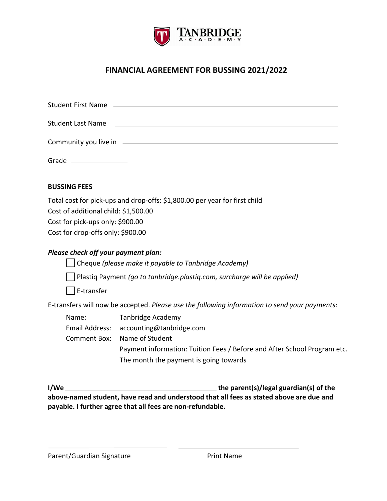

# **FINANCIAL AGREEMENT FOR BUSSING 2021/2022**

| Student Last Name                                                                                                 |
|-------------------------------------------------------------------------------------------------------------------|
| Community you live in electron and the community you live in                                                      |
| Grade ________________                                                                                            |
| <b>BUSSING FEES</b>                                                                                               |
| Total cost for pick-ups and drop-offs: \$1,800.00 per year for first child<br>Cost of additional child: A. EOO OO |

Cost of additional child: \$1,500.00 Cost for pick-ups only: \$900.00 Cost for drop-offs only: \$900.00

# *Please check off your payment plan:*

Cheque *(please make it payable to Tanbridge Academy)* 

Plastiq Payment *(go to tanbridge.plastiq.com, surcharge will be applied)*

E-transfer

E-transfers will now be accepted. *Please use the following information to send your payments*:

Name: Tanbridge Academy Email Address: accounting@tanbridge.com Comment Box: Name of Student Payment information: Tuition Fees / Before and After School Program etc. The month the payment is going towards

**I/We the parent(s)/legal guardian(s) of the above-named student, have read and understood that all fees as stated above are due and payable. I further agree that all fees are non-refundable.**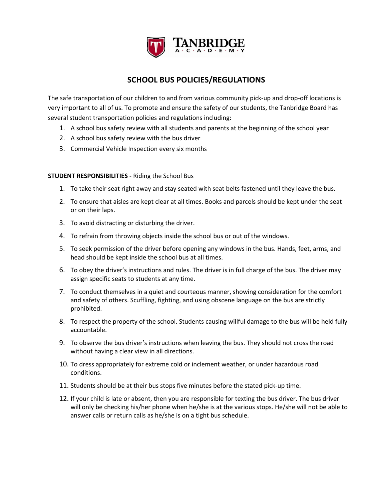

# **SCHOOL BUS POLICIES/REGULATIONS**

The safe transportation of our children to and from various community pick-up and drop-off locations is very important to all of us. To promote and ensure the safety of our students, the Tanbridge Board has several student transportation policies and regulations including:

- 1. A school bus safety review with all students and parents at the beginning of the school year
- 2. A school bus safety review with the bus driver
- 3. Commercial Vehicle Inspection every six months

### **STUDENT RESPONSIBILITIES** - Riding the School Bus

- 1. To take their seat right away and stay seated with seat belts fastened until they leave the bus.
- 2. To ensure that aisles are kept clear at all times. Books and parcels should be kept under the seat or on their laps.
- 3. To avoid distracting or disturbing the driver.
- 4. To refrain from throwing objects inside the school bus or out of the windows.
- 5. To seek permission of the driver before opening any windows in the bus. Hands, feet, arms, and head should be kept inside the school bus at all times.
- 6. To obey the driver's instructions and rules. The driver is in full charge of the bus. The driver may assign specific seats to students at any time.
- 7. To conduct themselves in a quiet and courteous manner, showing consideration for the comfort and safety of others. Scuffling, fighting, and using obscene language on the bus are strictly prohibited.
- 8. To respect the property of the school. Students causing willful damage to the bus will be held fully accountable.
- 9. To observe the bus driver's instructions when leaving the bus. They should not cross the road without having a clear view in all directions.
- 10. To dress appropriately for extreme cold or inclement weather, or under hazardous road conditions.
- 11. Students should be at their bus stops five minutes before the stated pick-up time.
- 12. If your child is late or absent, then you are responsible for texting the bus driver. The bus driver will only be checking his/her phone when he/she is at the various stops. He/she will not be able to answer calls or return calls as he/she is on a tight bus schedule.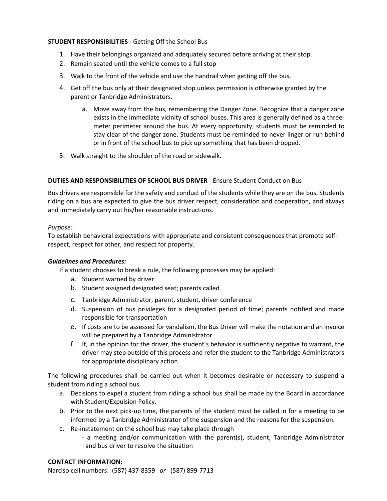### **STUDENT RESPONSIBILITIES -** Getting Off the School Bus

- 1. Have their belongings organized and adequately secured before arriving at their stop.
- 2. Remain seated until the vehicle comes to a full stop
- 3. Walk to the front of the vehicle and use the handrail when getting off the bus.
- 4. Get off the bus only at their designated stop unless permission is otherwise granted by the parent or Tanbridge Administrators.
	- a. Move away from the bus, remembering the Danger Zone. Recognize that a danger zone exists in the immediate vicinity of school buses. This area is generally defined as a threemeter perimeter around the bus. At every opportunity, students must be reminded to stay clear of the danger zone. Students must be reminded to never linger or run behind or in front of the school bus to pick up something that has been dropped.
- 5. Walk straight to the shoulder of the road or sidewalk.

## **DUTIES AND RESPONSIBILITIES OF SCHOOL BUS DRIVER** - Ensure Student Conduct on Bus

Bus drivers are responsible for the safety and conduct of the students while they are on the bus. Students riding on a bus are expected to give the bus driver respect, consideration and cooperation, and always and immediately carry out his/her reasonable instructions.

### *Purpose:*

To establish behavioral expectations with appropriate and consistent consequences that promote selfrespect, respect for other, and respect for property.

### *Guidelines and Procedures:*

If a student chooses to break a rule, the following processes may be applied:

- a. Student warned by driver
- b. Student assigned designated seat; parents called
- c. Tanbridge Administrator, parent, student, driver conference
- d. Suspension of bus privileges for a designated period of time; parents notified and made responsible for transportation
- e. If costs are to be assessed for vandalism, the Bus Driver will make the notation and an invoice will be prepared by a Tanbridge Administrator
- f. If, in the opinion for the driver, the student's behavior is sufficiently negative to warrant, the driver may step outside of this process and refer the student to the Tanbridge Administrators for appropriate disciplinary action

The following procedures shall be carried out when it becomes desirable or necessary to suspend a student from riding a school bus.

- a. Decisions to expel a student from riding a school bus shall be made by the Board in accordance with Student/Expulsion Policy.
- b. Prior to the next pick-up time, the parents of the student must be called in for a meeting to be informed by a Tanbridge Administrator of the suspension and the reasons for the suspension.
- c. Re-instatement on the school bus may take place through - a meeting and/or communication with the parent(s), student, Tanbridge Administrator and bus driver to resolve the situation

### **CONTACT INFORMATION:**

Narciso cell numbers: (587) 437-8359 *or* (587) 899-7713